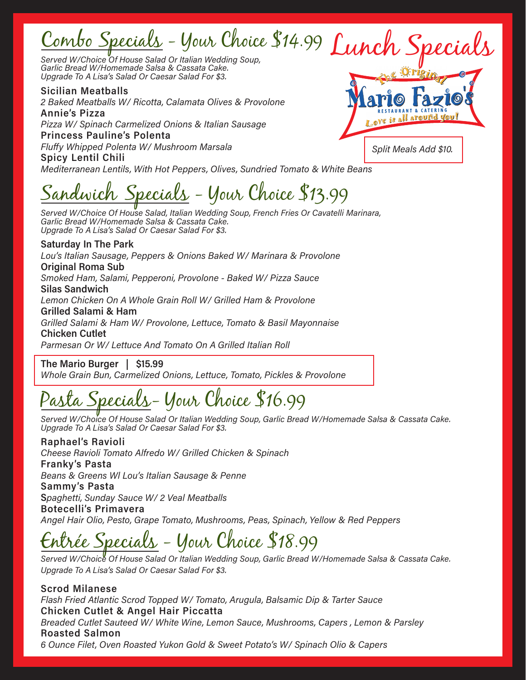# Combo Specials - Your Choice \$14.99 Lunch Specials<br>served W/Choice Of House Salad Or Italian Wedding Soup,

Served W/Choice Of House Salad Or Italian Wedding Soup, Garlic Bread W/Homemade Salsa & Cassata Cake. Upgrade To A Lisa's Salad Or Caesar Salad For \$3.

 Sicilian Meatballs 2 Baked Meatballs W/ Ricotta, Calamata Olives & Provolone Annie's Pizza Pizza W/ Spinach Carmelized Onions & Italian Sausage Princess Pauline's Polenta Fluffy Whipped Polenta W/ Mushroom Marsala Spicy Lentil Chili

Split Meals Add \$10.

Mediterranean Lentils, With Hot Peppers, Olives, Sundried Tomato & White Beans

Sandwich Specials - Your Choice \$13.99

Served W/Choice Of House Salad, Italian Wedding Soup, French Fries Or Cavatelli Marinara, Garlic Bread W/Homemade Salsa & Cassata Cake. Upgrade To A Lisa's Salad Or Caesar Salad For \$3.

 Saturday In The Park Lou's Italian Sausage, Peppers & Onions Baked W/ Marinara & Provolone Original Roma Sub Smoked Ham, Salami, Pepperoni, Provolone - Baked W/ Pizza Sauce Silas Sandwich Lemon Chicken On A Whole Grain Roll W/ Grilled Ham & Provolone Grilled Salami & Ham Grilled Salami & Ham W/ Provolone, Lettuce, Tomato & Basil Mayonnaise Chicken Cutlet

Parmesan Or W/ Lettuce And Tomato On A Grilled Italian Roll

 The Mario Burger | \$15.99

Whole Grain Bun, Carmelized Onions, Lettuce, Tomato, Pickles & Provolone

# asta Specials-Your Choice \$16.99

Served W/Choice Of House Salad Or Italian Wedding Soup, Garlic Bread W/Homemade Salsa & Cassata Cake. Upgrade To A Lisa's Salad Or Caesar Salad For \$3.

Raphael's Ravioli Cheese Ravioli Tomato Alfredo W/ Grilled Chicken & Spinach Franky's Pasta Beans & Greens Wl Lou's Italian Sausage & Penne Sammy's Pasta Spaghetti, Sunday Sauce W/ 2 Veal Meatballs Botecelli's Primavera Angel Hair Olio, Pesto, Grape Tomato, Mushrooms, Peas, Spinach, Yellow & Red Peppers

<u>ée Specials</u> - Your Choice \$18.99

Served W/Choice Of House Salad Or Italian Wedding Soup, Garlic Bread W/Homemade Salsa & Cassata Cake. Upgrade To A Lisa's Salad Or Caesar Salad For \$3.

 Scrod Milanese Flash Fried Atlantic Scrod Topped W/ Tomato, Arugula, Balsamic Dip & Tarter Sauce Chicken Cutlet & Angel Hair Piccatta Breaded Cutlet Sauteed W/ White Wine, Lemon Sauce, Mushrooms, Capers , Lemon & Parsley Roasted Salmon 6 Ounce Filet, Oven Roasted Yukon Gold & Sweet Potato's W/ Spinach Olio & Capers